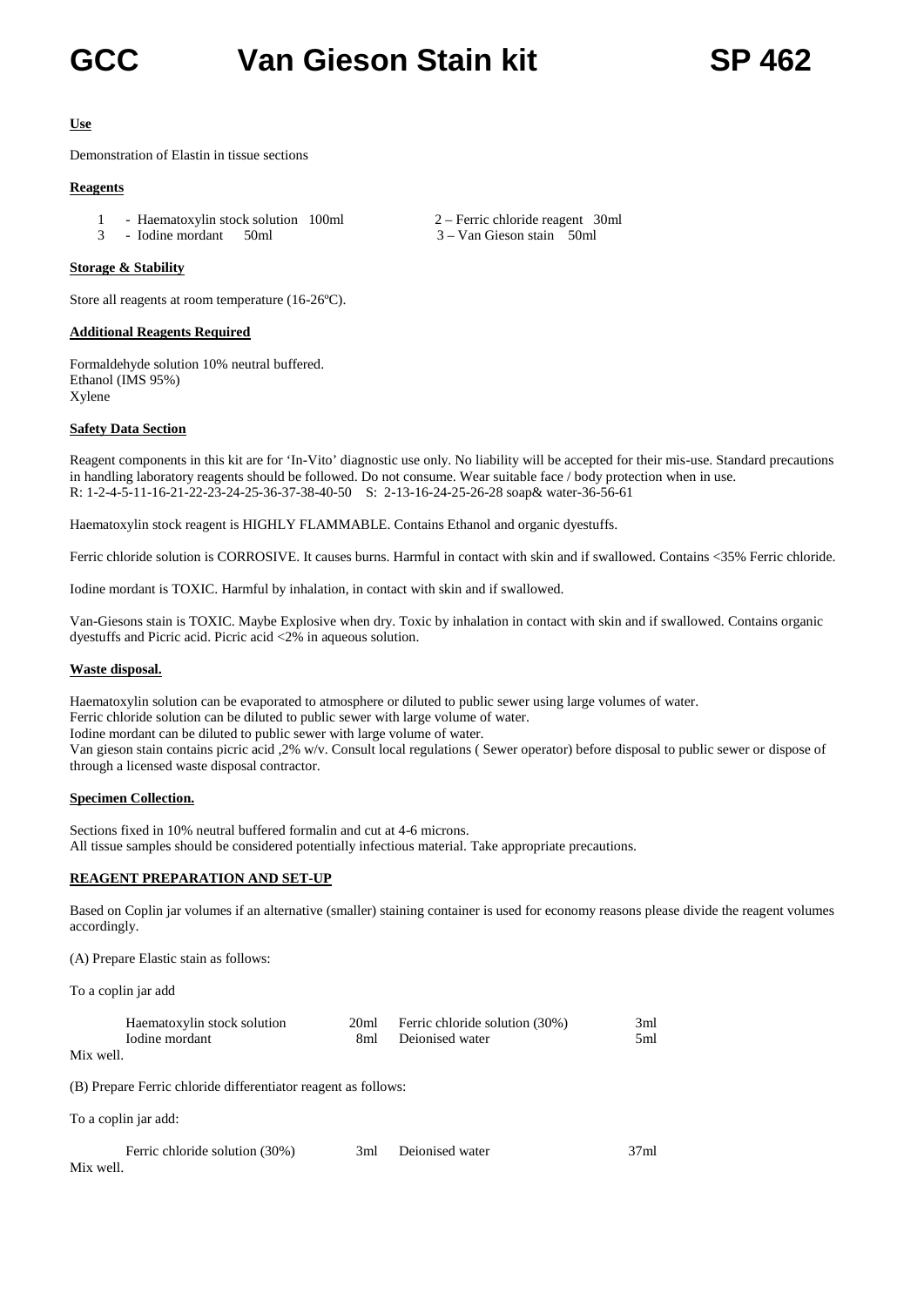## **GCC Van Gieson Stain kit SP 462**

#### **Use**

Demonstration of Elastin in tissue sections

#### **Reagents**

- 1 Haematoxylin stock solution 100ml 2 Ferric chloride reagent 30ml
- 3 Iodine mordant 50ml 3 Van Gieson stain 50ml

#### **Storage & Stability**

Store all reagents at room temperature (16-26ºC).

#### **Additional Reagents Required**

Formaldehyde solution 10% neutral buffered. Ethanol (IMS 95%) Xylene

#### **Safety Data Section**

Reagent components in this kit are for 'In-Vito' diagnostic use only. No liability will be accepted for their mis-use. Standard precautions in handling laboratory reagents should be followed. Do not consume. Wear suitable face / body protection when in use. R: 1-2-4-5-11-16-21-22-23-24-25-36-37-38-40-50 S: 2-13-16-24-25-26-28 soap& water-36-56-61

Haematoxylin stock reagent is HIGHLY FLAMMABLE. Contains Ethanol and organic dyestuffs.

Ferric chloride solution is CORROSIVE. It causes burns. Harmful in contact with skin and if swallowed. Contains <35% Ferric chloride.

Iodine mordant is TOXIC. Harmful by inhalation, in contact with skin and if swallowed.

Van-Giesons stain is TOXIC. Maybe Explosive when dry. Toxic by inhalation in contact with skin and if swallowed. Contains organic dyestuffs and Picric acid. Picric acid <2% in aqueous solution.

#### **Waste disposal.**

Haematoxylin solution can be evaporated to atmosphere or diluted to public sewer using large volumes of water. Ferric chloride solution can be diluted to public sewer with large volume of water. Iodine mordant can be diluted to public sewer with large volume of water. Van gieson stain contains picric acid ,2% w/v. Consult local regulations ( Sewer operator) before disposal to public sewer or dispose of through a licensed waste disposal contractor.

#### **Specimen Collection.**

Sections fixed in 10% neutral buffered formalin and cut at 4-6 microns. All tissue samples should be considered potentially infectious material. Take appropriate precautions.

#### **REAGENT PREPARATION AND SET-UP**

Based on Coplin jar volumes if an alternative (smaller) staining container is used for economy reasons please divide the reagent volumes accordingly.

(A) Prepare Elastic stain as follows:

To a coplin jar add

| Haematoxylin stock solution | 20ml | Ferric chloride solution (30%) | 3ml |
|-----------------------------|------|--------------------------------|-----|
| Iodine mordant              |      | 8ml Deionised water            | 5ml |

Mix well.

(B) Prepare Ferric chloride differentiator reagent as follows:

To a coplin jar add:

|           | Ferric chloride solution (30%) | 3ml Deionised water | 37ml |
|-----------|--------------------------------|---------------------|------|
| Mix well. |                                |                     |      |